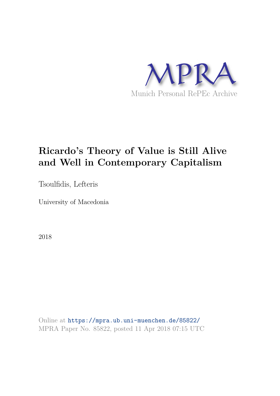

# **Ricardo's Theory of Value is Still Alive and Well in Contemporary Capitalism**

Tsoulfidis, Lefteris

University of Macedonia

2018

Online at https://mpra.ub.uni-muenchen.de/85822/ MPRA Paper No. 85822, posted 11 Apr 2018 07:15 UTC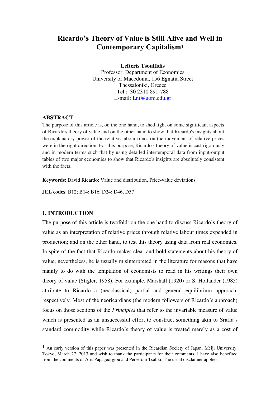# **Ricardo's Theory of Value is Still Alive and Well in Contemporary Capitalism<sup>1</sup>**

**Lefteris Tsoulfidis**

Professor, Department of Economics University of Macedonia, 156 Egnatia Street Thessaloniki, Greece Tel.: 30 2310 891-788 E-mail: [Lnt@uom.edu.gr](mailto:Lnt@uom.gr)

## **ABSTRACT**

The purpose of this article is, on the one hand, to shed light on some significant aspects of Ricardo's theory of value and on the other hand to show that Ricardo's insights about the explanatory power of the relative labour times on the movement of relative prices were in the right direction. For this purpose, Ricardo's theory of value is cast rigorously and in modern terms such that by using detailed intertemporal data from input-output tables of two major economies to show that Ricardo's insights are absolutely consistent with the facts.

**Keywords**: David Ricardo; Value and distribution, Price-value deviations

**JEL codes**: B12; B14; B16; D24; D46, D57

### **1. INTRODUCTION**

j

The purpose of this article is twofold: on the one hand to discuss Ricardo's theory of value as an interpretation of relative prices through relative labour times expended in production; and on the other hand, to test this theory using data from real economies. In spite of the fact that Ricardo makes clear and bold statements about his theory of value, nevertheless, he is usually misinterpreted in the literature for reasons that have mainly to do with the temptation of economists to read in his writings their own theory of value (Stigler, 1958). For example, Marshall (1920) or S. Hollander (1985) attribute to Ricardo a (neoclassical) partial and general equilibrium approach, respectively. Most of the neoricardians (the modern followers of Ricardo's approach) focus on those sections of the *Principles* that refer to the invariable measure of value which is presented as an unsuccessful effort to construct something akin to Sraffa's standard commodity while Ricardo's theory of value is treated merely as a cost of

<sup>&</sup>lt;sup>1</sup> An early version of this paper was presented in the Ricardian Society of Japan, Meiji University, Tokyo, March 27, 2013 and wish to thank the participants for their comments. I have also benefited from the comments of Aris Papageorgiou and Persefoni Tsaliki. The usual disclaimer applies.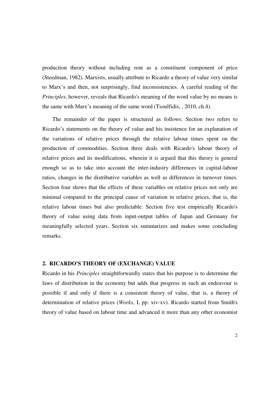production theory without including rent as a constituent component of price (Steedman, 1982). Marxists, usually attribute to Ricardo a theory of value very similar to Marx's and then, not surprisingly, find inconsistencies. A careful reading of the *Principles*, however, reveals that Ricardo's meaning of the word value by no means is the same with Marx's meaning of the same word (Tsoulfidis, , 2010, ch.4).

The remainder of the paper is structured as follows: Section two refers to Ricardo's statements on the theory of value and his insistence for an explanation of the variations of relative prices through the relative labour times spent on the production of commodities. Section three deals with Ricardo's labour theory of relative prices and its modifications, wherein it is argued that this theory is general enough so as to take into account the inter-industry differences in capital-labour ratios, changes in the distributive variables as well as differences in turnover times. Section four shows that the effects of these variables on relative prices not only are minimal compared to the principal cause of variation in relative prices, that is, the relative labour times but also predictable. Section five test empirically Ricardo's theory of value using data from input-output tables of Japan and Germany for meaningfully selected years. Section six summarizes and makes some concluding remarks.

#### **2. RICARDO'S THEORY OF (EXCHANGE) VALUE**

Ricardo in his *Principles* straightforwardly states that his purpose is to determine the laws of distribution in the economy but adds that progress in such an endeavour is possible if and only if there is a consistent theory of value, that is, a theory of determination of relative prices (*Works*, I, pp. xiv-xv). Ricardo started from Smith's theory of value based on labour time and advanced it more than any other economist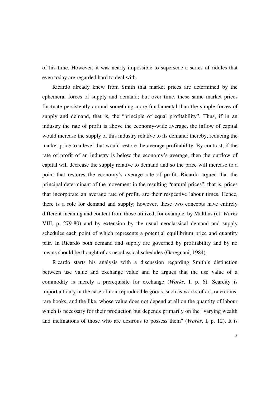of his time. However, it was nearly impossible to supersede a series of riddles that even today are regarded hard to deal with.

Ricardo already knew from Smith that market prices are determined by the ephemeral forces of supply and demand; but over time, these same market prices fluctuate persistently around something more fundamental than the simple forces of supply and demand, that is, the "principle of equal profitability". Thus, if in an industry the rate of profit is above the economy-wide average, the inflow of capital would increase the supply of this industry relative to its demand; thereby, reducing the market price to a level that would restore the average profitability. By contrast, if the rate of profit of an industry is below the economy's average, then the outflow of capital will decrease the supply relative to demand and so the price will increase to a point that restores the economy's average rate of profit. Ricardo argued that the principal determinant of the movement in the resulting "natural prices", that is, prices that incorporate an average rate of profit, are their respective labour times. Hence, there is a role for demand and supply; however, these two concepts have entirely different meaning and content from those utilized, for example, by Malthus (cf. *Works* VIII, p. 279-80) and by extension by the usual neoclassical demand and supply schedules each point of which represents a potential equilibrium price and quantity pair. In Ricardo both demand and supply are governed by profitability and by no means should be thought of as neoclassical schedules (Garegnani, 1984).

Ricardo starts his analysis with a discussion regarding Smith's distinction between use value and exchange value and he argues that the use value of a commodity is merely a prerequisite for exchange (*Works*, I, p. 6). Scarcity is important only in the case of non-reproducible goods, such as works of art, rare coins, rare books, and the like, whose value does not depend at all on the quantity of labour which is necessary for their production but depends primarily on the "varying wealth" and inclinations of those who are desirous to possess them" (*Works*, I, p. 12). It is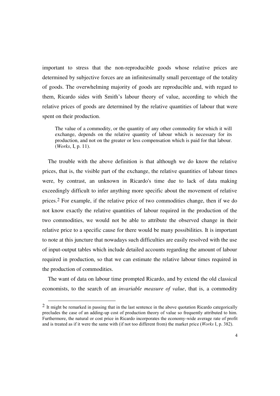important to stress that the non-reproducible goods whose relative prices are determined by subjective forces are an infinitesimally small percentage of the totality of goods. The overwhelming majority of goods are reproducible and, with regard to them, Ricardo sides with Smith's labour theory of value, according to which the relative prices of goods are determined by the relative quantities of labour that were spent on their production.

The value of a commodity, or the quantity of any other commodity for which it will exchange, depends on the relative quantity of labour which is necessary for its production, and not on the greater or less compensation which is paid for that labour. (*Works*, I, p. 11).

The trouble with the above definition is that although we do know the relative prices, that is, the visible part of the exchange, the relative quantities of labour times were, by contrast, an unknown in Ricardo's time due to lack of data making exceedingly difficult to infer anything more specific about the movement of relative prices.2 For example, if the relative price of two commodities change, then if we do not know exactly the relative quantities of labour required in the production of the two commodities, we would not be able to attribute the observed change in their relative price to a specific cause for there would be many possibilities. It is important to note at this juncture that nowadays such difficulties are easily resolved with the use of input-output tables which include detailed accounts regarding the amount of labour required in production, so that we can estimate the relative labour times required in the production of commodities.

The want of data on labour time prompted Ricardo, and by extend the old classical economists, to the search of an *invariable measure of value*, that is, a commodity

j

<sup>&</sup>lt;sup>2</sup> It might be remarked in passing that in the last sentence in the above quotation Ricardo categorically precludes the case of an adding-up cost of production theory of value so frequently attributed to him. Furthermore, the natural or cost price in Ricardo incorporates the economy-wide average rate of profit and is treated as if it were the same with (if not too different from) the market price (*Works* I, p. 382).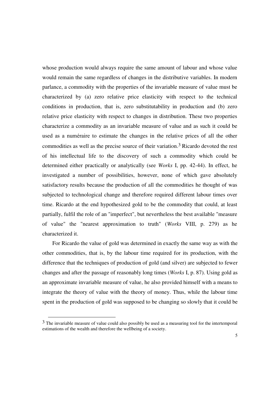whose production would always require the same amount of labour and whose value would remain the same regardless of changes in the distributive variables. In modern parlance, a commodity with the properties of the invariable measure of value must be characterized by (a) zero relative price elasticity with respect to the technical conditions in production, that is, zero substitutability in production and (b) zero relative price elasticity with respect to changes in distribution. These two properties characterize a commodity as an invariable measure of value and as such it could be used as a numéraire to estimate the changes in the relative prices of all the other commodities as well as the precise source of their variation.3 Ricardo devoted the rest of his intellectual life to the discovery of such a commodity which could be determined either practically or analytically (see *Works* I, pp. 42-44). In effect, he investigated a number of possibilities, however, none of which gave absolutely satisfactory results because the production of all the commodities he thought of was subjected to technological change and therefore required different labour times over time. Ricardo at the end hypothesized gold to be the commodity that could, at least partially, fulfil the role of an "imperfect", but nevertheless the best available "measure of value" the "nearest approximation to truth" (*Works* VIII, p. 279) as he characterized it.

For Ricardo the value of gold was determined in exactly the same way as with the other commodities, that is, by the labour time required for its production, with the difference that the techniques of production of gold (and silver) are subjected to fewer changes and after the passage of reasonably long times (*Works* I, p. 87). Using gold as an approximate invariable measure of value, he also provided himself with a means to integrate the theory of value with the theory of money. Thus, while the labour time spent in the production of gold was supposed to be changing so slowly that it could be

-

<sup>&</sup>lt;sup>3</sup> The invariable measure of value could also possibly be used as a measuring tool for the intertemporal estimations of the wealth and therefore the wellbeing of a society.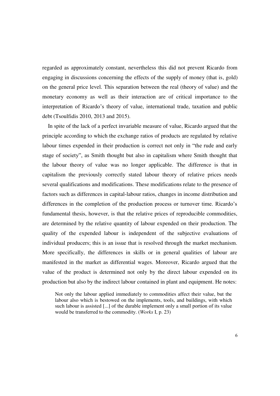regarded as approximately constant, nevertheless this did not prevent Ricardo from engaging in discussions concerning the effects of the supply of money (that is, gold) on the general price level. This separation between the real (theory of value) and the monetary economy as well as their interaction are of critical importance to the interpretation of Ricardo's theory of value, international trade, taxation and public debt (Tsoulfidis 2010, 2013 and 2015).

In spite of the lack of a perfect invariable measure of value, Ricardo argued that the principle according to which the exchange ratios of products are regulated by relative labour times expended in their production is correct not only in "the rude and early stage of society", as Smith thought but also in capitalism where Smith thought that the labour theory of value was no longer applicable. The difference is that in capitalism the previously correctly stated labour theory of relative prices needs several qualifications and modifications. These modifications relate to the presence of factors such as differences in capital-labour ratios, changes in income distribution and differences in the completion of the production process or turnover time. Ricardo's fundamental thesis, however, is that the relative prices of reproducible commodities, are determined by the relative quantity of labour expended on their production. The quality of the expended labour is independent of the subjective evaluations of individual producers; this is an issue that is resolved through the market mechanism. More specifically, the differences in skills or in general qualities of labour are manifested in the market as differential wages. Moreover, Ricardo argued that the value of the product is determined not only by the direct labour expended on its production but also by the indirect labour contained in plant and equipment. He notes:

Not only the labour applied immediately to commodities affect their value, but the labour also which is bestowed on the implements, tools, and buildings, with which such labour is assisted [...] of the durable implement only a small portion of its value would be transferred to the commodity. (*Works* I, p. 23)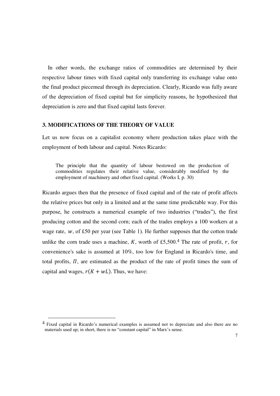In other words, the exchange ratios of commodities are determined by their respective labour times with fixed capital only transferring its exchange value onto the final product piecemeal through its depreciation. Clearly, Ricardo was fully aware of the depreciation of fixed capital but for simplicity reasons, he hypothesized that depreciation is zero and that fixed capital lasts forever.

# **3. MODIFICATIONS OF THE THEORY OF VALUE**

Let us now focus on a capitalist economy where production takes place with the employment of both labour and capital. Notes Ricardo:

The principle that the quantity of labour bestowed on the production of commodities regulates their relative value, considerably modified by the employment of machinery and other fixed capital. (Works I, p. 30)

Ricardo argues then that the presence of fixed capital and of the rate of profit affects the relative prices but only in a limited and at the same time predictable way. For this purpose, he constructs a numerical example of two industries ("trades"), the first producing cotton and the second corn; each of the trades employs a 100 workers at a wage rate,  $w$ , of £50 per year (see Table 1). He further supposes that the cotton trade unlike the corn trade uses a machine, K, worth of £5,500.<sup>4</sup> The rate of profit, r, for convenience's sake is assumed at 10%, too low for England in Ricardo's time, and total profits,  $\Pi$ , are estimated as the product of the rate of profit times the sum of capital and wages,  $r(K + wL)$ . Thus, we have:

-

<sup>4</sup> Fixed capital in Ricardo's numerical examples is assumed not to depreciate and also there are no materials used up; in short, there is no "constant capital" in Marx's sense.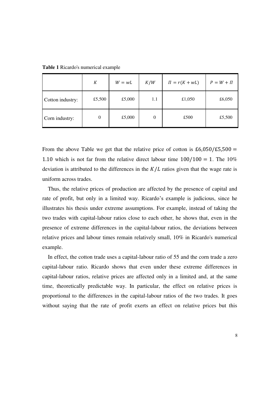$K$  $W = wL$  $K/W$  $\Pi = r(K + wL)$  $P = W + \Pi$ Cotton industry: <br>
E5,500 <br>
E5,000 <br>
E5,000 <br>
E1,050 <br>
E6,050 Corn industry: 0 £5,000 0 £500 £5,500

**Table 1** Ricardo's numerical example

From the above Table we get that the relative price of cotton is  $£6,050/£5,500 =$ 1.10 which is not far from the relative direct labour time  $100/100 = 1$ . The  $10\%$ deviation is attributed to the differences in the  $K/L$  ratios given that the wage rate is uniform across trades.

Thus, the relative prices of production are affected by the presence of capital and rate of profit, but only in a limited way. Ricardo's example is judicious, since he illustrates his thesis under extreme assumptions. For example, instead of taking the two trades with capital-labour ratios close to each other, he shows that, even in the presence of extreme differences in the capital-labour ratios, the deviations between relative prices and labour times remain relatively small, 10% in Ricardo's numerical example.

In effect, the cotton trade uses a capital-labour ratio of 55 and the corn trade a zero capital-labour ratio. Ricardo shows that even under these extreme differences in capital-labour ratios, relative prices are affected only in a limited and, at the same time, theoretically predictable way. In particular, the effect on relative prices is proportional to the differences in the capital-labour ratios of the two trades. It goes without saying that the rate of profit exerts an effect on relative prices but this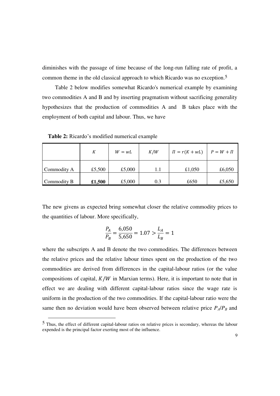diminishes with the passage of time because of the long-run falling rate of profit, a common theme in the old classical approach to which Ricardo was no exception.5

Table 2 below modifies somewhat Ricardo's numerical example by examining two commodities A and B and by inserting pragmatism without sacrificing generality hypothesizes that the production of commodities A and B takes place with the employment of both capital and labour. Thus, we have

**Table 2:** Ricardo's modified numerical example

-

|             | К      | $W = wL$ | K/W | $\Pi = r(K + wL)$ | $P = W + \Pi$ |
|-------------|--------|----------|-----|-------------------|---------------|
| Commodity A | £5,500 | £5,000   | 1.1 | £1,050            | £6,050        |
| Commodity B | £1,500 | £5,000   | 0.3 | £650              | £5,650        |

The new givens as expected bring somewhat closer the relative commodity prices to the quantities of labour. More specifically,

$$
\frac{P_A}{P_B} = \frac{6,050}{5,650} = 1.07 > \frac{L_A}{L_B} = 1
$$

where the subscripts A and B denote the two commodities. The differences between the relative prices and the relative labour times spent on the production of the two commodities are derived from differences in the capital-labour ratios (or the value compositions of capital,  $K/W$  in Marxian terms). Here, it is important to note that in effect we are dealing with different capital-labour ratios since the wage rate is uniform in the production of the two commodities. If the capital-labour ratio were the same then no deviation would have been observed between relative price  $P_A/P_B$  and

<sup>5</sup> Thus, the effect of different capital-labour ratios on relative prices is secondary, whereas the labour expended is the principal factor exerting most of the influence.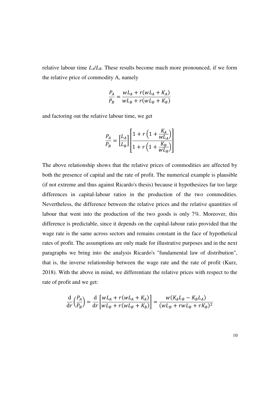relative labour time *LΑ*/*LΒ*. These results become much more pronounced, if we form the relative price of commodity A, namely

$$
\frac{P_A}{P_B} = \frac{wL_A + r(wL_A + K_A)}{wL_B + r(wL_B + K_B)}
$$

and factoring out the relative labour time, we get

$$
\frac{P_A}{P_B} = \left[\frac{L_A}{L_B}\right] \left[\frac{1 + r\left(1 + \frac{K_A}{wL_A}\right)}{1 + r\left(1 + \frac{K_B}{wL_B}\right)}\right]
$$

The above relationship shows that the relative prices of commodities are affected by both the presence of capital and the rate of profit. The numerical example is plausible (if not extreme and thus against Ricardo's thesis) because it hypothesizes far too large differences in capital-labour ratios in the production of the two commodities. Nevertheless, the difference between the relative prices and the relative quantities of labour that went into the production of the two goods is only 7%. Moreover, this difference is predictable, since it depends on the capital-labour ratio provided that the wage rate is the same across sectors and remains constant in the face of hypothetical rates of profit. The assumptions are only made for illustrative purposes and in the next paragraphs we bring into the analysis Ricardo's "fundamental law of distribution", that is, the inverse relationship between the wage rate and the rate of profit (Kurz, 2018). With the above in mind, we differentiate the relative prices with respect to the rate of profit and we get:

$$
\frac{\mathrm{d}}{\mathrm{d}r} \left( \frac{P_A}{P_B} \right) = \frac{\mathrm{d}}{\mathrm{d}r} \left[ \frac{wL_A + r(wL_A + K_A)}{wL_B + r(wL_B + K_B)} \right] = \frac{w(K_A L_B - K_B L_A)}{(wL_B + rwL_B + rk_B)^2}
$$

10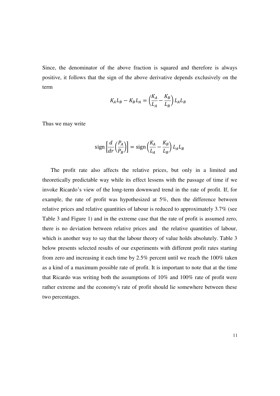Since, the denominator of the above fraction is squared and therefore is always positive, it follows that the sign of the above derivative depends exclusively on the term

$$
K_A L_B - K_B L_A = \left(\frac{K_A}{L_A} - \frac{K_B}{L_B}\right) L_A L_B
$$

Thus we may write

$$
\operatorname{sign}\left[\frac{d}{dr}\left(\frac{P_A}{P_B}\right)\right] = \operatorname{sign}\left(\frac{K_A}{L_A} - \frac{K_B}{L_B}\right) L_A L_B
$$

The profit rate also affects the relative prices, but only in a limited and theoretically predictable way while its effect lessens with the passage of time if we invoke Ricardo's view of the long-term downward trend in the rate of profit. If, for example, the rate of profit was hypothesized at 5%, then the difference between relative prices and relative quantities of labour is reduced to approximately 3.7% (see Table 3 and Figure 1) and in the extreme case that the rate of profit is assumed zero, there is no deviation between relative prices and the relative quantities of labour, which is another way to say that the labour theory of value holds absolutely. Table 3 below presents selected results of our experiments with different profit rates starting from zero and increasing it each time by 2.5% percent until we reach the 100% taken as a kind of a maximum possible rate of profit. It is important to note that at the time that Ricardo was writing both the assumptions of 10% and 100% rate of profit were rather extreme and the economy's rate of profit should lie somewhere between these two percentages.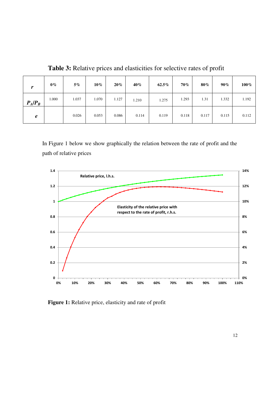**Table 3:** Relative prices and elasticities for selective rates of profit

| $\mathbf{r}$ | $0\%$ | $5\%$ | $10\%$ | $20\%$ | $40\%$ | $62.5\%$ | 70%   | 80%   | $90\%$ | 100%  |
|--------------|-------|-------|--------|--------|--------|----------|-------|-------|--------|-------|
| $P_A/P_B$    | 1.000 | 1.037 | 1.070  | 1.127  | 1.210  | 1.275    | 1.293 | 1.31  | 1.332  | 1.192 |
| e            |       | 0.026 | 0.053  | 0.086  | 0.114  | 0.119    | 0.118 | 0.117 | 0.115  | 0.112 |

In Figure 1 below we show graphically the relation between the rate of profit and the path of relative prices



**Figure 1:** Relative price, elasticity and rate of profit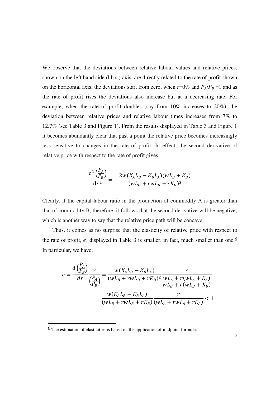We observe that the deviations between relative labour values and relative prices, shown on the left hand side (l.h.s.) axis, are directly related to the rate of profit shown on the horizontal axis; the deviations start from zero, when  $r=0\%$  and  $P_A/P_B=1$  and as the rate of profit rises the deviations also increase but at a decreasing rate. For example, when the rate of profit doubles (say from 10% increases to 20%), the deviation between relative prices and relative labour times increases from 7% to 12.7% (see Table 3 and Figure 1). From the results displayed in Table 3 and Figure 1 it becomes abundantly clear that past a point the relative price becomes increasingly less sensitive to changes in the rate of profit. In effect, the second derivative of relative price with respect to the rate of profit gives

$$
\frac{d^{2} \left(\frac{P_{A}}{P_{B}}\right)}{dr^{2}} = -\frac{2w(K_{A}L_{B} - K_{B}L_{A})(wL_{B} + K_{B})}{(wL_{B} + rwL_{B} + rK_{B})^{3}}
$$

Clearly, if the capital-labour ratio in the production of commodity A is greater than that of commodity B, therefore, it follows that the second derivative will be negative, which is another way to say that the relative price path will be concave.

Thus, it comes as no surprise that the elasticity of relative price with respect to the rate of profit,  $e$ , displayed in Table 3 is smaller, in fact, much smaller than one.<sup>6</sup> In particular, we have,

$$
e = \frac{d\left(\frac{P_A}{P_B}\right)}{dr} \frac{r}{\left(\frac{P_A}{P_B}\right)} = \frac{w(K_A L_B - K_B L_A)}{(w L_B + r w L_B + r K_B)^2} \frac{r}{w L_A + r(w L_A + K_A)} = \frac{w(K_A L_B - K_B L_A)}{(w L_B + r w L_B + r K_B)} \frac{r}{\left(w L_A + r w L_A + r K_A\right)} < 1
$$

j

 $\overline{D}$ .

<sup>6</sup> The estimation of elasticities is based on the application of midpoint formula.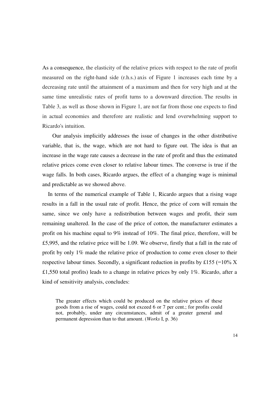As a consequence, the elasticity of the relative prices with respect to the rate of profit measured on the right-hand side (r.h.s.) axis of Figure 1 increases each time by a decreasing rate until the attainment of a maximum and then for very high and at the same time unrealistic rates of profit turns to a downward direction. The results in Table 3, as well as those shown in Figure 1, are not far from those one expects to find in actual economies and therefore are realistic and lend overwhelming support to Ricardo's intuition.

Our analysis implicitly addresses the issue of changes in the other distributive variable, that is, the wage, which are not hard to figure out. The idea is that an increase in the wage rate causes a decrease in the rate of profit and thus the estimated relative prices come even closer to relative labour times. The converse is true if the wage falls. In both cases, Ricardo argues, the effect of a changing wage is minimal and predictable as we showed above.

In terms of the numerical example of Table 1, Ricardo argues that a rising wage results in a fall in the usual rate of profit. Hence, the price of corn will remain the same, since we only have a redistribution between wages and profit, their sum remaining unaltered. In the case of the price of cotton, the manufacturer estimates a profit on his machine equal to 9% instead of 10%. The final price, therefore, will be £5,995, and the relative price will be 1.09. We observe, firstly that a fall in the rate of profit by only 1% made the relative price of production to come even closer to their respective labour times. Secondly, a significant reduction in profits by £155 (=10%  $X$ ) £1,550 total profits) leads to a change in relative prices by only 1%. Ricardo, after a kind of sensitivity analysis, concludes:

The greater effects which could be produced on the relative prices of these goods from a rise of wages, could not exceed 6 or 7 per cent.; for profits could not, probably, under any circumstances, admit of a greater general and permanent depression than to that amount. (*Works* I, p. 36)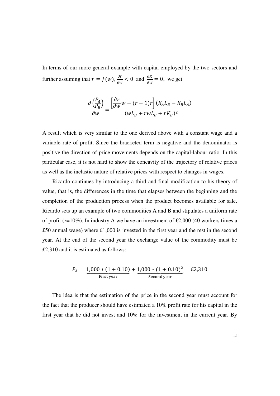In terms of our more general example with capital employed by the two sectors and further assuming that  $r = f(w)$ ,  $\frac{\partial r}{\partial w} < 0$  and  $\frac{\partial K}{\partial w} = 0$ , we get

$$
\frac{\partial \left(\frac{P_A}{P_B}\right)}{\partial w} = \frac{\left[\frac{\partial r}{\partial w}w - (r+1)r\right](K_A L_B - K_B L_A)}{(w L_B + r w L_B + r K_B)^2}
$$

A result which is very similar to the one derived above with a constant wage and a variable rate of profit. Since the bracketed term is negative and the denominator is positive the direction of price movements depends on the capital-labour ratio. In this particular case, it is not hard to show the concavity of the trajectory of relative prices as well as the inelastic nature of relative prices with respect to changes in wages.

Ricardo continues by introducing a third and final modification to his theory of value, that is, the differences in the time that elapses between the beginning and the completion of the production process when the product becomes available for sale. Ricardo sets up an example of two commodities A and B and stipulates a uniform rate of profit  $(r=10\%)$ . In industry A we have an investment of £2,000 (40 workers times a £50 annual wage) where £1,000 is invested in the first year and the rest in the second year. At the end of the second year the exchange value of the commodity must be £2,310 and it is estimated as follows:

$$
P_A = \underbrace{1,000 * (1 + 0.10)}_{\text{First year}} + \underbrace{1,000 * (1 + 0.10)^2}_{\text{Second year}} = \text{\textsterling}2,310
$$

The idea is that the estimation of the price in the second year must account for the fact that the producer should have estimated a 10% profit rate for his capital in the first year that he did not invest and 10% for the investment in the current year. By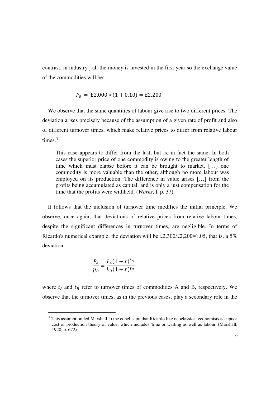contrast, in industry j all the money is invested in the first year so the exchange value of the commodities will be:

$$
P_B = \pounds 2,000 * (1 + 0.10) = \pounds 2,200
$$

We observe that the same quantities of labour give rise to two different prices. The deviation arises precisely because of the assumption of a given rate of profit and also of different turnover times, which make relative prices to differ from relative labour times.7

This case appears to differ from the last, but is, in fact the same. In both cases the superior price of one commodity is owing to the greater length of time which must elapse before it can be brought to market. […] one commodity is more valuable than the other, although no more labour was employed on its production. The difference in value arises […] from the profits being accumulated as capital, and is only a just compensation for the time that the profits were withheld. (*Works*, I, p. 37)

It follows that the inclusion of turnover time modifies the initial principle. We observe, once again, that deviations of relative prices from relative labour times, despite the significant differences in turnover times, are negligible. In terms of Ricardo's numerical example, the deviation will be £2,300/£2,200=1.05, that is, a 5% deviation

$$
\frac{P_A}{p_B} = \frac{L_A (1+r)^{t_A}}{L_B (1+r)^{t_B}}
$$

-

where  $t_A$  and  $t_B$  refer to turnover times of commodities A and B, respectively. We observe that the turnover times, as in the previous cases, play a secondary role in the

<sup>7</sup> This assumption led Marshall to the conclusion that Ricardo like neoclassical economists accepts a cost of production theory of value, which includes 'time or waiting as well as labour' (Marshall, 1920, p. 672)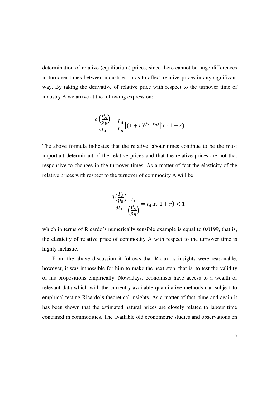determination of relative (equilibrium) prices, since there cannot be huge differences in turnover times between industries so as to affect relative prices in any significant way. By taking the derivative of relative price with respect to the turnover time of industry A we arrive at the following expression:

$$
\frac{\partial \left(\frac{P_A}{p_B}\right)}{\partial t_A} = \frac{L_A}{L_B} \left[ (1+r)^{(t_A - t_B)} \right] \ln \left( 1+r \right)
$$

The above formula indicates that the relative labour times continue to be the most important determinant of the relative prices and that the relative prices are not that responsive to changes in the turnover times. As a matter of fact the elasticity of the relative prices with respect to the turnover of commodity A will be

$$
\frac{\partial \left(\frac{P_A}{p_B}\right)}{\partial t_A} \frac{t_A}{\left(\frac{P_A}{p_B}\right)} = t_A \ln(1+r) < 1
$$

which in terms of Ricardo's numerically sensible example is equal to 0.0199, that is, the elasticity of relative price of commodity A with respect to the turnover time is highly inelastic.

From the above discussion it follows that Ricardo's insights were reasonable, however, it was impossible for him to make the next step, that is, to test the validity of his propositions empirically. Nowadays, economists have access to a wealth of relevant data which with the currently available quantitative methods can subject to empirical testing Ricardo's theoretical insights. As a matter of fact, time and again it has been shown that the estimated natural prices are closely related to labour time contained in commodities. The available old econometric studies and observations on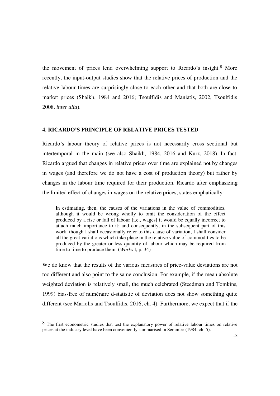the movement of prices lend overwhelming support to Ricardo's insight.8 More recently, the input-output studies show that the relative prices of production and the relative labour times are surprisingly close to each other and that both are close to market prices (Shaikh, 1984 and 2016; Tsoulfidis and Maniatis, 2002, Tsoulfidis 2008, *inter alia*).

#### **4. RICARDO'S PRINCIPLE OF RELATIVE PRICES TESTED**

Ricardo's labour theory of relative prices is not necessarily cross sectional but intertemporal in the main (see also Shaikh, 1984, 2016 and Kurz, 2018). In fact, Ricardo argued that changes in relative prices over time are explained not by changes in wages (and therefore we do not have a cost of production theory) but rather by changes in the labour time required for their production. Ricardo after emphasizing the limited effect of changes in wages on the relative prices, states emphatically:

In estimating, then, the causes of the variations in the value of commodities, although it would be wrong wholly to omit the consideration of the effect produced by a rise or fall of labour [i.e., wages] it would be equally incorrect to attach much importance to it; and consequently, in the subsequent part of this work, though I shall occasionally refer to this cause of variation, I shall consider all the great variations which take place in the relative value of commodities to be produced by the greater or less quantity of labour which may be required from time to time to produce them. (*Works* I, p. 34)

We do know that the results of the various measures of price-value deviations are not too different and also point to the same conclusion. For example, if the mean absolute weighted deviation is relatively small, the much celebrated (Steedman and Tomkins, 1999) bias-free of numéraire d-statistic of deviation does not show something quite different (see Mariolis and Tsoulfidis, 2016, ch. 4). Furthermore, we expect that if the

-

<sup>&</sup>lt;sup>8</sup> The first econometric studies that test the explanatory power of relative labour times on relative prices at the industry level have been conveniently summarised in Semmler (1984, ch. 5).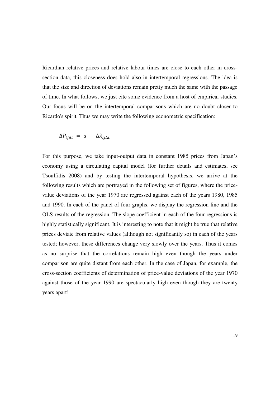Ricardian relative prices and relative labour times are close to each other in crosssection data, this closeness does hold also in intertemporal regressions. The idea is that the size and direction of deviations remain pretty much the same with the passage of time. In what follows, we just cite some evidence from a host of empirical studies. Our focus will be on the intertemporal comparisons which are no doubt closer to Ricardo's spirit. Thus we may write the following econometric specification:

$$
\Delta P_{ij\Delta t} = a + \Delta \lambda_{ij\Delta t}
$$

For this purpose, we take input-output data in constant 1985 prices from Japan's economy using a circulating capital model (for further details and estimates, see Tsoulfidis 2008) and by testing the intertemporal hypothesis, we arrive at the following results which are portrayed in the following set of figures, where the pricevalue deviations of the year 1970 are regressed against each of the years 1980, 1985 and 1990. In each of the panel of four graphs, we display the regression line and the OLS results of the regression. The slope coefficient in each of the four regressions is highly statistically significant. It is interesting to note that it might be true that relative prices deviate from relative values (although not significantly so) in each of the years tested; however, these differences change very slowly over the years. Thus it comes as no surprise that the correlations remain high even though the years under comparison are quite distant from each other. In the case of Japan, for example, the cross-section coefficients of determination of price-value deviations of the year 1970 against those of the year 1990 are spectacularly high even though they are twenty years apart!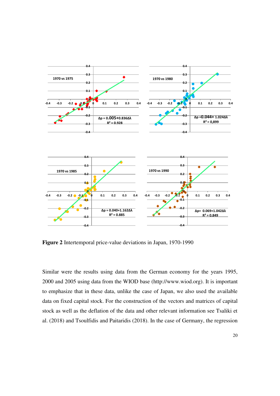

**Figure 2** Intertemporal price-value deviations in Japan, 1970-1990

Similar were the results using data from the German economy for the years 1995, 2000 and 2005 using data from the WIOD base (http://www.wiod.org). It is important to emphasize that in these data, unlike the case of Japan, we also used the available data on fixed capital stock. For the construction of the vectors and matrices of capital stock as well as the deflation of the data and other relevant information see Tsaliki et al. (2018) and Tsoulfidis and Paitaridis (2018). In the case of Germany, the regression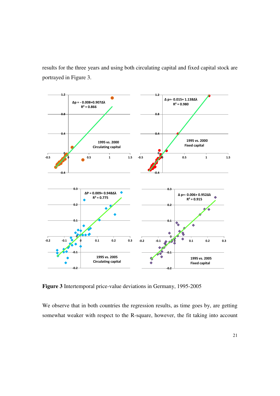results for the three years and using both circulating capital and fixed capital stock are portrayed in Figure 3.



**Figure 3** Intertemporal price-value deviations in Germany, 1995-2005

We observe that in both countries the regression results, as time goes by, are getting somewhat weaker with respect to the R-square, however, the fit taking into account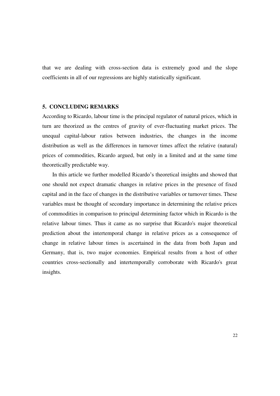that we are dealing with cross-section data is extremely good and the slope coefficients in all of our regressions are highly statistically significant.

#### **5. CONCLUDING REMARKS**

According to Ricardo, labour time is the principal regulator of natural prices, which in turn are theorized as the centres of gravity of ever-fluctuating market prices. The unequal capital-labour ratios between industries, the changes in the income distribution as well as the differences in turnover times affect the relative (natural) prices of commodities, Ricardo argued, but only in a limited and at the same time theoretically predictable way.

In this article we further modelled Ricardo's theoretical insights and showed that one should not expect dramatic changes in relative prices in the presence of fixed capital and in the face of changes in the distributive variables or turnover times. These variables must be thought of secondary importance in determining the relative prices of commodities in comparison to principal determining factor which in Ricardo is the relative labour times. Thus it came as no surprise that Ricardo's major theoretical prediction about the intertemporal change in relative prices as a consequence of change in relative labour times is ascertained in the data from both Japan and Germany, that is, two major economies. Empirical results from a host of other countries cross-sectionally and intertemporally corroborate with Ricardo's great insights.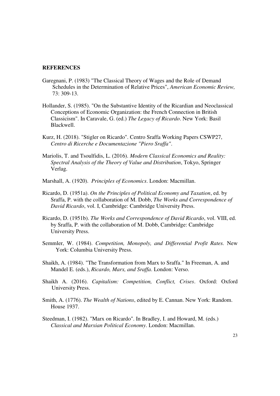#### **REFERENCES**

- Garegnani, P. (1983) "The Classical Theory of Wages and the Role of Demand Schedules in the Determination of Relative Prices", *American Economic Review,*  73: 309-13.
- Hollander, S. (1985). "On the Substantive Identity of the Ricardian and Neoclassical Conceptions of Economic Organization: the French Connection in British Classicism". In Caravale, G. (ed.) *The Legacy of Ricardo*. New York: Basil Blackwell.
- Kurz, H. (2018). "Stigler on Ricardo". [Centro Sraffa Working Papers](https://ideas.repec.org/s/ris/sraffa.html) CSWP27, *Centro di Ricerche e Documentazione "Piero Sraffa"*.
- Mariolis, T. and Tsoulfidis, L. (2016). *Modern Classical Economics and Reality: Spectral Analysis of the Theory of Value and Distribution*, Tokyo, Springer Verlag.
- Marshall, A. (1920). *Principles of Economics*. London: Macmillan.
- Ricardo, D. (1951a). *On the Principles of Political Economy and Taxation*, ed. by Sraffa, P. with the collaboration of M. Dobb, *The Works and Correspondence of David Ricardo*, vol. I, Cambridge: Cambridge University Press.
- Ricardo, D. (1951b). *The Works and Correspondence of David Ricardo*, vol. VIII, ed. by Sraffa, P. with the collaboration of M. Dobb, Cambridge: Cambridge University Press.
- Semmler, W. (1984). *Competition, Monopoly, and Differential Profit Rates.* New York: Columbia University Press.
- Shaikh, A. (1984). "The Transformation from Marx to Sraffa." In Freeman, A. and Mandel E. (eds.), *Ricardo, Marx, and Sraffa*. London: Verso.
- Shaikh A. (2016). *Capitalism: Competition, Conflict, Crises*. Oxford: Oxford University Press.
- Smith, A. (1776). *The Wealth of Nations*, edited by E. Cannan. New York: Random. House 1937.
- Steedman, I. (1982). "Marx on Ricardo". In Bradley, I. and Howard, M. (eds.) *Classical and Marxian Political Economy*. London: Macmillan.